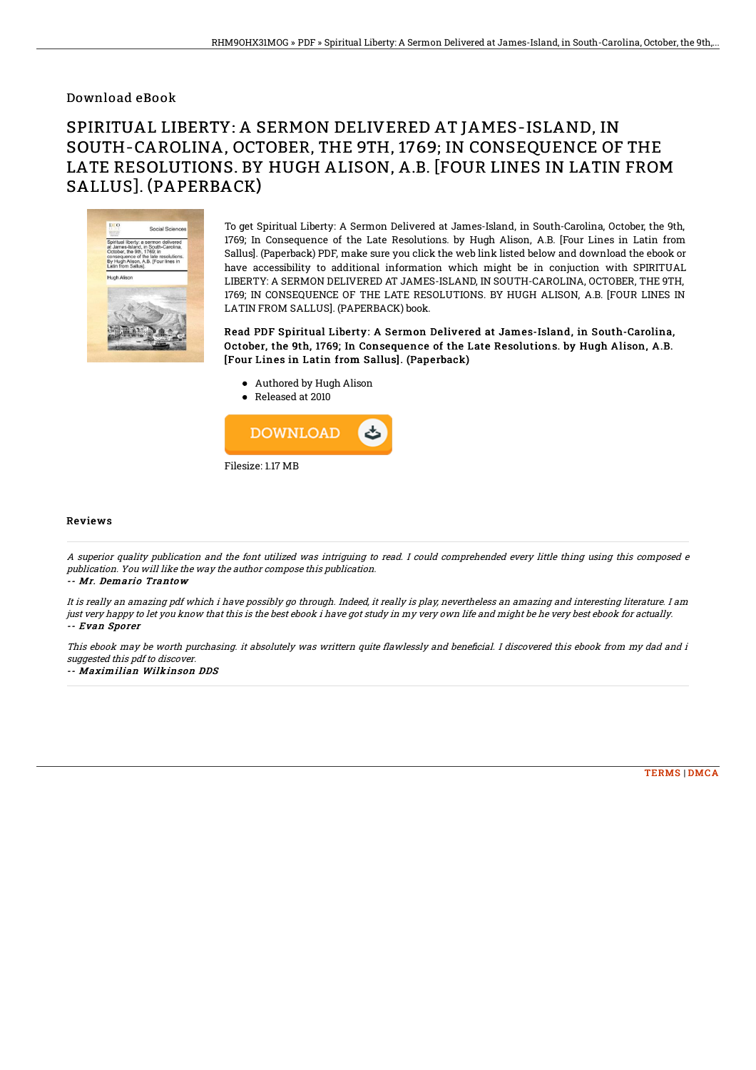## Download eBook

# SPIRITUAL LIBERTY: A SERMON DELIVERED AT JAMES-ISLAND, IN SOUTH-CAROLINA, OCTOBER, THE 9TH, 1769; IN CONSEQUENCE OF THE LATE RESOLUTIONS. BY HUGH ALISON, A.B. [FOUR LINES IN LATIN FROM SALLUS]. (PAPERBACK)



To get Spiritual Liberty: A Sermon Delivered at James-Island, in South-Carolina, October, the 9th, 1769; In Consequence of the Late Resolutions. by Hugh Alison, A.B. [Four Lines in Latin from Sallus]. (Paperback) PDF, make sure you click the web link listed below and download the ebook or have accessibility to additional information which might be in conjuction with SPIRITUAL LIBERTY: A SERMON DELIVERED AT JAMES-ISLAND, IN SOUTH-CAROLINA, OCTOBER, THE 9TH, 1769; IN CONSEQUENCE OF THE LATE RESOLUTIONS. BY HUGH ALISON, A.B. [FOUR LINES IN LATIN FROM SALLUS]. (PAPERBACK) book.

### Read PDF Spiritual Liberty: A Sermon Delivered at James-Island, in South-Carolina, October, the 9th, 1769; In Consequence of the Late Resolutions. by Hugh Alison, A.B. [Four Lines in Latin from Sallus]. (Paperback)

- Authored by Hugh Alison
- Released at 2010



#### Reviews

A superior quality publication and the font utilized was intriguing to read. I could comprehended every little thing using this composed <sup>e</sup> publication. You will like the way the author compose this publication.

#### -- Mr. Demario Trantow

It is really an amazing pdf which i have possibly go through. Indeed, it really is play, nevertheless an amazing and interesting literature. I am just very happy to let you know that this is the best ebook i have got study in my very own life and might be he very best ebook for actually. -- Evan Sporer

This ebook may be worth purchasing. it absolutely was writtern quite flawlessly and beneficial. I discovered this ebook from my dad and i suggested this pdf to discover.

#### -- Maximilian Wilkinson DDS